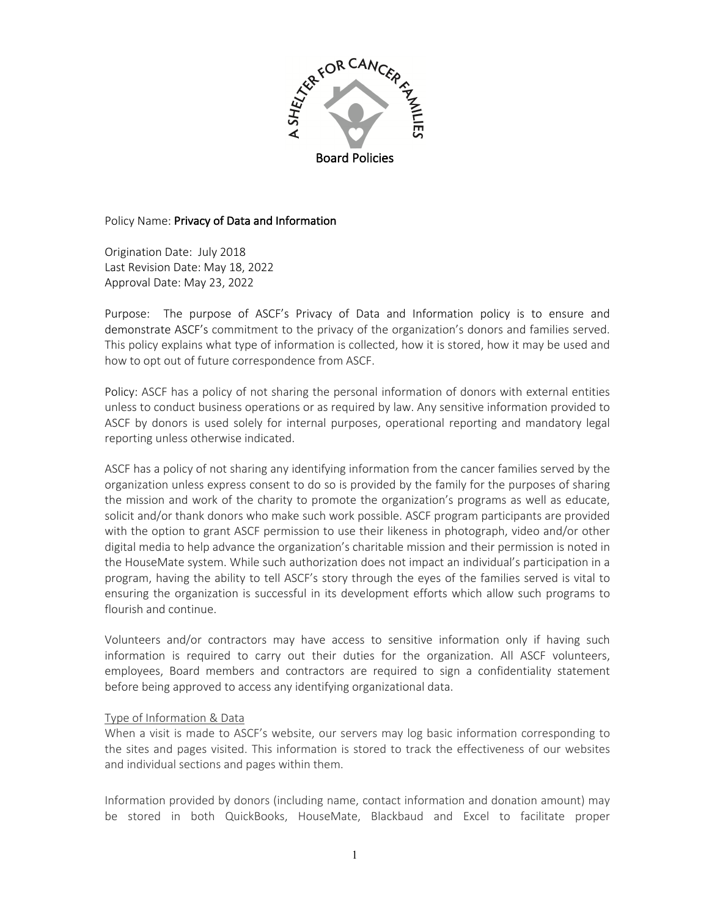

#### Policy Name: Privacy of Data and Information

Origination Date: July 2018 Last Revision Date: May 18, 2022 Approval Date: May 23, 2022

Purpose: The purpose of ASCF's Privacy of Data and Information policy is to ensure and demonstrate ASCF's commitment to the privacy of the organization's donors and families served. This policy explains what type of information is collected, how it is stored, how it may be used and how to opt out of future correspondence from ASCF.

Policy: ASCF has a policy of not sharing the personal information of donors with external entities unless to conduct business operations or as required by law. Any sensitive information provided to ASCF by donors is used solely for internal purposes, operational reporting and mandatory legal reporting unless otherwise indicated.

ASCF has a policy of not sharing any identifying information from the cancer families served by the organization unless express consent to do so is provided by the family for the purposes of sharing the mission and work of the charity to promote the organization's programs as well as educate, solicit and/or thank donors who make such work possible. ASCF program participants are provided with the option to grant ASCF permission to use their likeness in photograph, video and/or other digital media to help advance the organization's charitable mission and their permission is noted in the HouseMate system. While such authorization does not impact an individual's participation in a program, having the ability to tell ASCF's story through the eyes of the families served is vital to ensuring the organization is successful in its development efforts which allow such programs to flourish and continue.

Volunteers and/or contractors may have access to sensitive information only if having such information is required to carry out their duties for the organization. All ASCF volunteers, employees, Board members and contractors are required to sign a confidentiality statement before being approved to access any identifying organizational data.

### Type of Information & Data

When a visit is made to ASCF's website, our servers may log basic information corresponding to the sites and pages visited. This information is stored to track the effectiveness of our websites and individual sections and pages within them.

Information provided by donors (including name, contact information and donation amount) may be stored in both QuickBooks, HouseMate, Blackbaud and Excel to facilitate proper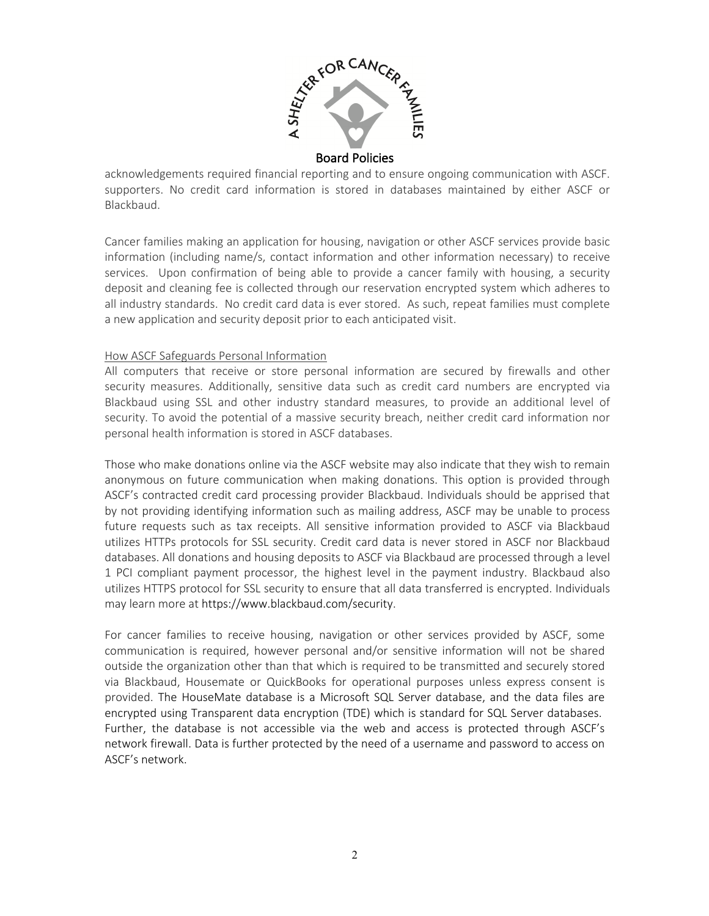

Board Policies

acknowledgements required financial reporting and to ensure ongoing communication with ASCF. supporters. No credit card information is stored in databases maintained by either ASCF or Blackbaud.

Cancer families making an application for housing, navigation or other ASCF services provide basic information (including name/s, contact information and other information necessary) to receive services. Upon confirmation of being able to provide a cancer family with housing, a security deposit and cleaning fee is collected through our reservation encrypted system which adheres to all industry standards. No credit card data is ever stored. As such, repeat families must complete a new application and security deposit prior to each anticipated visit.

# How ASCF Safeguards Personal Information

All computers that receive or store personal information are secured by firewalls and other security measures. Additionally, sensitive data such as credit card numbers are encrypted via Blackbaud using SSL and other industry standard measures, to provide an additional level of security. To avoid the potential of a massive security breach, neither credit card information nor personal health information is stored in ASCF databases.

Those who make donations online via the ASCF website may also indicate that they wish to remain anonymous on future communication when making donations. This option is provided through ASCF's contracted credit card processing provider Blackbaud. Individuals should be apprised that by not providing identifying information such as mailing address, ASCF may be unable to process future requests such as tax receipts. All sensitive information provided to ASCF via Blackbaud utilizes HTTPs protocols for SSL security. Credit card data is never stored in ASCF nor Blackbaud databases. All donations and housing deposits to ASCF via Blackbaud are processed through a level 1 PCI compliant payment processor, the highest level in the payment industry. Blackbaud also utilizes HTTPS protocol for SSL security to ensure that all data transferred is encrypted. Individuals may learn more at https://www.blackbaud.com/security.

For cancer families to receive housing, navigation or other services provided by ASCF, some communication is required, however personal and/or sensitive information will not be shared outside the organization other than that which is required to be transmitted and securely stored via Blackbaud, Housemate or QuickBooks for operational purposes unless express consent is provided. The HouseMate database is a Microsoft SQL Server database, and the data files are encrypted using Transparent data encryption (TDE) which is standard for SQL Server databases. Further, the database is not accessible via the web and access is protected through ASCF's network firewall. Data is further protected by the need of a username and password to access on ASCF's network.